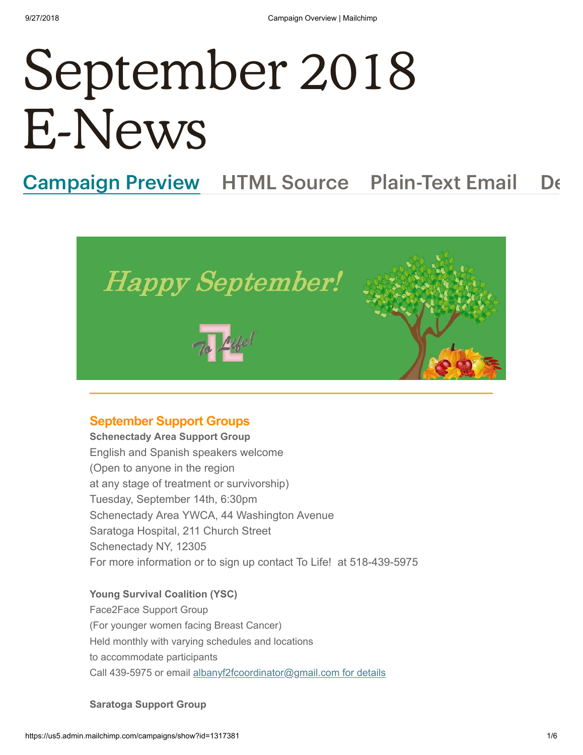# September 2018 E-News

## Campaign Preview HTML Source Plain-Text Email De



#### **September Support Groups**

**Schenectady Area Support Group** English and Spanish speakers welcome (Open to anyone in the region at any stage of treatment or survivorship) Tuesday, September 14th, 6:30pm Schenectady Area YWCA, 44 Washington Avenue Saratoga Hospital, 211 Church Street Schenectady NY, 12305 For more information or to sign up contact To Life! at 518-439-5975

#### **Young Survival Coalition (YSC)**

Face2Face Support Group (For younger women facing Breast Cancer) Held monthly with varying schedules and locations to accommodate participants Call 439-5975 or email [albanyf2fcoordinator@gmail.com for details](mailto:albanyf2fcoordinator@gmail.com?subject=face2face%20support%20group%20January%2014)

#### **Saratoga Support Group**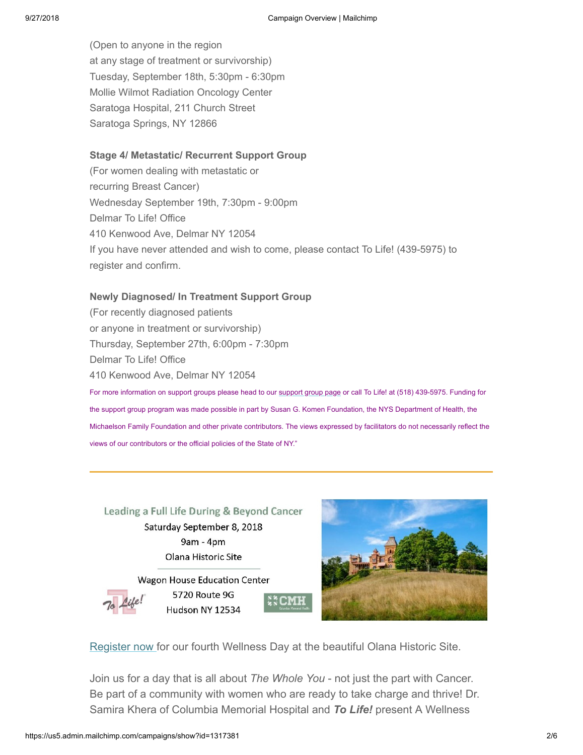(Open to anyone in the region at any stage of treatment or survivorship) Tuesday, September 18th, 5:30pm - 6:30pm Mollie Wilmot Radiation Oncology Center Saratoga Hospital, 211 Church Street Saratoga Springs, NY 12866

#### **Stage 4/ Metastatic/ Recurrent Support Group**

(For women dealing with metastatic or recurring Breast Cancer) Wednesday September 19th, 7:30pm - 9:00pm Delmar To Life! Office 410 Kenwood Ave, Delmar NY 12054 If you have never attended and wish to come, please contact To Life! (439-5975) to register and confirm.

#### **Newly Diagnosed/ In Treatment Support Group**

(For recently diagnosed patients or anyone in treatment or survivorship) Thursday, September 27th, 6:00pm - 7:30pm Delmar To Life! Office 410 Kenwood Ave, Delmar NY 12054 For more information on support groups please head to our [support group page](https://tolife.us5.list-manage.com/track/click?u=241d59b897b4121e9d2e15914&id=0ed9107133&e=a323f22755) or call To Life! at (518) 439-5975. Funding for the support group program was made possible in part by Susan G. Komen Foundation, the NYS Department of Health, the Michaelson Family Foundation and other private contributors. The views expressed by facilitators do not necessarily reflect the views of our contributors or the official policies of the State of NY."

Leading a Full Life During & Beyond Cancer Saturday September 8, 2018 9am - 4pm Olana Historic Site

Wagon House Education Center 5720 Route 9G Hudson NY 12534



[Register](https://tolife.us5.list-manage.com/track/click?u=241d59b897b4121e9d2e15914&id=6863be5386&e=a323f22755) now for our fourth Wellness Day at the beautiful Olana Historic Site.

Join us for a day that is all about *The Whole You* - not just the part with Cancer. Be part of a community with women who are ready to take charge and thrive! Dr. Samira Khera of Columbia Memorial Hospital and *To Life!* present A Wellness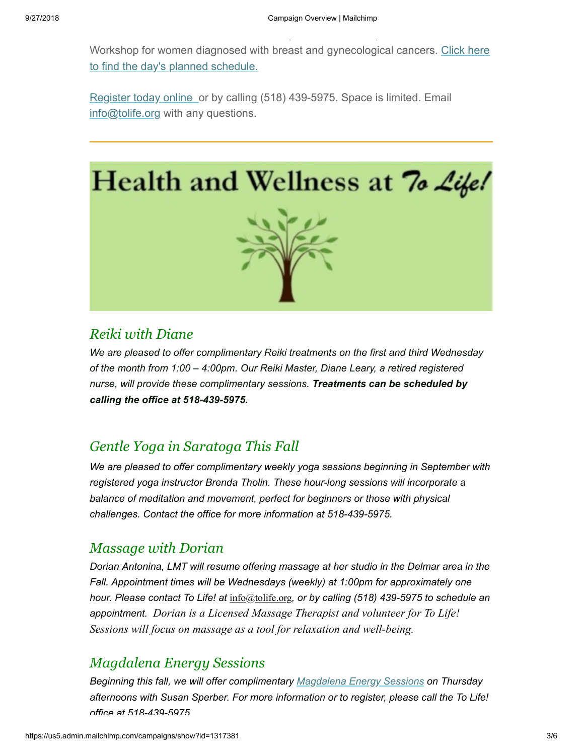p production in the second state.<br>Production is a second state of the second state of the second state of the second state of the second state o

Workshop for women diagnosed with breast and [gynecological](https://tolife.us5.list-manage.com/track/click?u=241d59b897b4121e9d2e15914&id=dcc70ba257&e=a323f22755) cancers. Click here to find the day's planned schedule.

[Register](https://tolife.us5.list-manage.com/track/click?u=241d59b897b4121e9d2e15914&id=c1bfbe8f0f&e=a323f22755) today online or by calling (518) 439-5975. Space is limited. Email info@tolife.org with any questions.



## *Reiki with Diane*

*We are pleased to offer complimentary Reiki treatments on the first and third Wednesday of the month from 1:00 – 4:00pm. Our Reiki Master, Diane Leary, a retired registered nurse, will provide these complimentary sessions. Treatments can be scheduled by calling the office at 518-439-5975.* 

## *Gentle Yoga in Saratoga This Fall*

*We are pleased to offer complimentary weekly yoga sessions beginning in September with registered yoga instructor Brenda Tholin. These hour-long sessions will incorporate a balance of meditation and movement, perfect for beginners or those with physical challenges. Contact the office for more information at 518-439-5975.* 

## *Massage with Dorian*

*Dorian Antonina, LMT will resume offering massage at her studio in the Delmar area in the Fall. Appointment times will be Wednesdays (weekly) at 1:00pm for approximately one hour. Please contact To Life! at* info@tolife.org*, or by calling (518) 439-5975 to schedule an appointment. Dorian is a Licensed Massage Therapist and volunteer for To Life! Sessions will focus on massage as a tool for relaxation and well-being.*

## *Magdalena Energy Sessions*

*Beginning this fall, we will offer complimentary [Magdalena Energy Sessions](https://tolife.us5.list-manage.com/track/click?u=241d59b897b4121e9d2e15914&id=edfe58f2e8&e=a323f22755) on Thursday afternoons with Susan Sperber. For more information or to register, please call the To Life! office at 518-439-5975*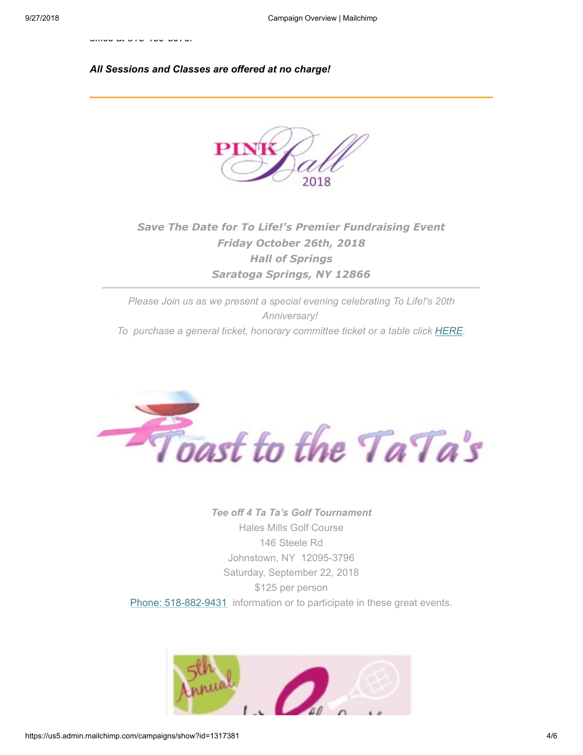*office at 518 439 5975.*

#### *All Sessions and Classes are offered at no charge!*



## *Save The Date for To Life!'s Premier Fundraising Event Friday October 26th, 2018 Hall of Springs Saratoga Springs, NY 12866*

*Please Join us as we present a special evening celebrating To Life!'s 20th Anniversary! To purchase a general ticket, honorary committee ticket or a table click [HERE](http://www.tolife.org/breast-cancer/event-registration-detail/pink_ball_tickets/).*



*Tee off 4 Ta Ta's Golf Tournament*  Hales Mills Golf Course 146 Steele Rd Johnstown, NY 12095-3796 Saturday, September 22, 2018 \$125 per person [Phone: 518-882-9431](https://tolife.us5.list-manage.com/track/click?u=241d59b897b4121e9d2e15914&id=459b0c4e0c&e=a323f22755) information or to participate in these great events.

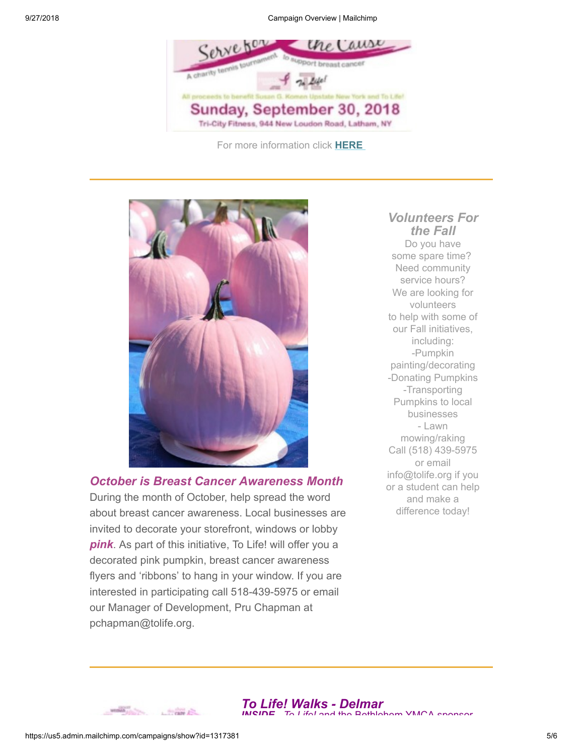9/27/2018 Campaign Overview | Mailchimp



For more information click **[HERE](https://www.allpointstennis.com/serve-for-the-cause.html)**



#### *Volunteers For the Fall*

Do you have some spare time? Need community service hours? We are looking for volunteers to help with some of our Fall initiatives, including: -Pumpkin painting/decorating -Donating Pumpkins -Transporting Pumpkins to local businesses - Lawn mowing/raking Call (518) 439-5975 or email info@tolife.org if you or a student can help and make a difference today!

*October is Breast Cancer Awareness Month* 

During the month of October, help spread the word about breast cancer awareness. Local businesses are invited to decorate your storefront, windows or lobby *pink*. As part of this initiative, To Life! will offer you a decorated pink pumpkin, breast cancer awareness flyers and 'ribbons' to hang in your window. If you are interested in participating call 518-439-5975 or email our Manager of Development, Pru Chapman at pchapman@tolife.org.



 $1.5$  and  $1.5$